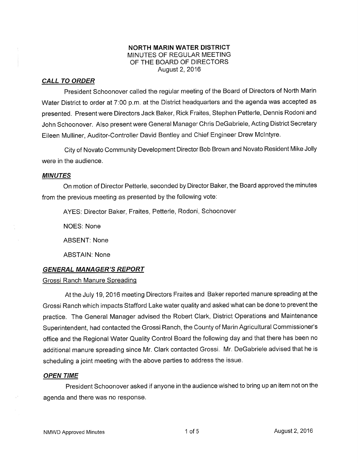### NORTH MARIN WATER DISTRICT MINUTES OF REGULAR MEETING OF THE BOARD OF DIRECTORS August 2,2016

## CALL TO ORDER

President Schoonover called the regular meeting of the Board of Directors of Nofth Marin Water District to order at 7:00 p.m. at the District headquarters and the agenda was accepted as presented. Present were Directors Jack Baker, Rick Fraites, Stephen Petterle, Dennis Rodoni and John Schoonover. Also present were General Manager Chris DeGabriele, Acting District Secretary Eileen Mulliner, Auditor-Controller David Bentley and Chief Engineer Drew Mclntyre.

City of Novato Community Development Director Bob Brown and Novato Resident Mike Jolly were in the audience.

### MINUTES

On motion of Director Petterle, seconded by Director Baker, the Board approved the minutes from the previous meeting as presented by the following vote:

AYES: Director Baker, Fraites, Petterle, Rodoni, Schoonover

NOES: None

ABSENT: None

ABSTAIN: None

## GENERAL MANAGER'S REPORT

### Grossi Ranch Manure Spreading

At the July 19, 2016 meeting Directors Fraites and Baker reported manure spreading at the Grossi Ranch which impacts Stafford Lake water quality and asked what can be done to prevent the practice. The General Manager advised the Robert Clark, District Operations and Maintenance Superintendent, had contacted the Grossi Ranch, the County of Marin Agricultural Commissioner's office and the Regional Water Quality Control Board the following day and that there has been no additional manure spreading since Mr. Clark contacted Grossi. Mr. DeGabriele advised that he is scheduling a joint meeting with the above parties to address the issue.

### OPEN TIME

President Schoonover asked if anyone in the audience wished to bring up an item not on the agenda and there was no response.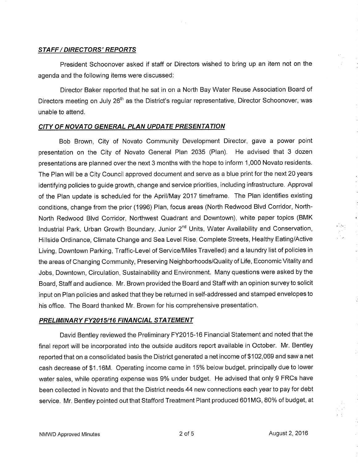### STAFF / DIRECTORS' REPORTS

President Schoonover asked if staff or Directors wished to bring up an item not on the agenda and the following items were discussed:

Director Baker reported that he sat in on a North Bay Water Reuse Association Board of Directors meeting on July 26<sup>th</sup> as the District's regular representative, Director Schoonover, was unable to attend.

### CITY OF NOVATO GENERAL PLAN UPDATE PRESENTATION

Bob Brown, City of Novato Community Development Director, gave a power point presentation on the City of Novato General Plan 2035 (Plan). He advised that 3 dozen presentations are planned over the next 3 months with the hope to inform 1,000 Novato residents. The Plan will be a City Council approved document and serve as a blue print for the next 20 years identifying policies to guide growth, change and service priorities, including infrastructure. Approval of the Plan update is scheduled for the April/May 2017 timeframe. The Plan identifies existing conditions, change from the prior (1996) Plan, focus areas (North Redwood Blvd Corridor, Notlh-North Redwood Blvd Corridor, Nofthwest Quadrant and Downtown), white paper topics (BMK Industrial Park, Urban Growth Boundary, Junior 2<sup>nd</sup> Units, Water Availability and Conservation, Hillside Ordinance, Climate Change and Sea Level Rise, Complete Streets, Healthy Eating/Active Living, Downtown Parking, Traffic-Level of Service/Miles Travelled) and a laundry list of policies in the areas of Changing Community, Preserving Neighborhoods/Quality of Life, Economic Vitality and Jobs, Downtown, Circulation, Sustainability and Environment. Many questions were asked by the Board, Staff and audience. Mr. Brown provided the Board and Staff with an opinion survey to solicit input on Plan policies and asked that they be returned in self-addressed and stamped envelopes to his office. The Board thanked Mr. Brown for his comprehensive presentation.

## PRELIMINARY FY2015/16 FINANCIAL STATEMENT

David Bentley reviewed the Preliminary FY2015-16 Financial Statement and noted that the final report will be incorporated into the outside auditors report available in October. Mr. Bentley reported that on a consolidated basis the District generated a net income of \$102,069 and saw a net cash decrease of \$1.16M. Operating income came in 15% below budget, principally due to lower water sales, while operating expense was 9% under budget. He advised that only 9 FRCs have been collected in Novato and that the District needs 44 new connections each year to pay for debt service. Mr. Bentley pointed out that Stafford Treatment Plant produced 601MG, 80% of budget, at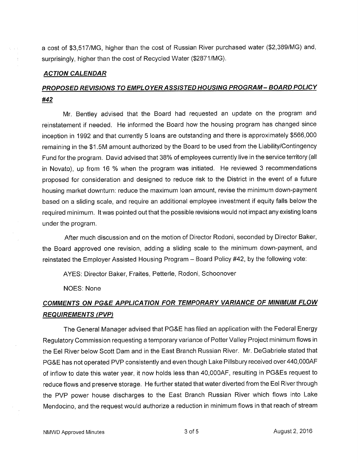a cost of \$3,517/MG, higher than the cost of Russian River purchased water (\$2,389/MG) and, surprisingly, higher than the cost of Recycled Water (\$2871/MG).

### ACTION CALENDAR

## PROPOSED REVISIONS TO EMPLOYER ASSISTED HOUSING PROGRAM - BOARD POLICY #42

Mr. Bentley advised that the Board had requested an update on the program and reinstatement if needed. He informed the Board how the housing program has changed since inception in 1992 and that currently S loans are outstanding and there is approximately \$566,000 remaining in the \$1.5M amount authorized by the Board to be used from the Liability/Contingency Fund for the program. David advised that 38% of employees currently live in the service territory (all in Novato), up from 16 % when the program was initiated. He reviewed 3 recommendations proposed for consideration and designed to reduce risk to the District in the event of a future housing market downturn: reduce the maximum loan amount, revise the minimum down-payment based on a sliding scale, and require an additional employee investment if equity falls below the required minimum. It was pointed out that the possible revisions would not impact any existing loans under the program.

After much discussion and on the motion of Director Rodoni, seconded by Director Baker, the Board approved one revision, adding a sliding scale to the minimum down-payment, and reinstated the Employer Assisted Housing Program - Board Policy #42, by the following vote:

AYES: Director Baker, Fraites, Petterle, Rodoni, Schoonover

NOES: None

# COMMENTS ON PG&E APPLICATION FOR TEMPORARY VARIANCE OF MINIMUM FLOW **REQUIREMENTS (PVP)**

The General Manager advised that PG&E has filed an application with the Federal Energy Regulatory Commission requesting a temporary variance of Potter Valley Project minimum flows in the Eel River below Scott Dam and in the East Branch Russian River. Mr. DeGabriele stated that PG&E has not operated PVP consistently and even though Lake Pillsbury received over 440,0004F of inflow to date this water year, it now holds less than 40,0004F, resulting in PG&Es request to reduce flows and preserve storage. He further stated that water diverted from the Eel River through the PVP power house discharges to the East Branch Russian River which flows into Lake Mendocino, and the request would authorize a reduction in minimum flows in that reach of stream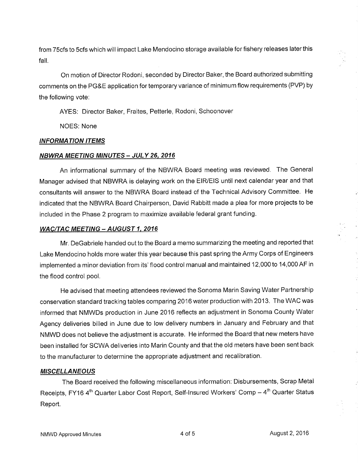from 75cfs to Scfs which will impact Lake Mendocino storage available for fishery releases later this fall.

On motion of Director Rodoni, seconded by Director Baker, the Board authorized submitting comments on the PG&E application for temporary variance of minimum flow requirements (PVP) by the following vote:

AYES: Director Baker, Fraites, Petterle, Rodoni, Schoonover

NOES: None

## INFORMATION ITEMS

## **NBWRA MEETING MINUTES - JULY 26, 2016**

An informational summary of the NBWRA Board meeting was reviewed. The General Manager advised that NBWRA is delaying work on the EIR/EIS until next calendar year and that consultants will answer to the NBWRA Board instead of the Technical Advisory Committee. He indicated that the NBWRA Board Chairperson, David Rabbitt made a plea for more projects to be included in the Phase 2 program to maximize available federal grant funding.

## WAC/TAC MEETING - AUGUST 1, 2016

Mr. DeGabriele handed out to the Board a memo summarizing the meeting and reported that Lake Mendocino holds more water this year because this past spring the Army Corps of Engineers implemented a minor deviation from its' flood control manual and maintained 12,000 to 14,000 AF in the flood control pool.

He advised that meeting attendees reviewed the Sonoma Marin Saving Water Partnership conservation standard tracking tables comparing 2016 water production with 2013. The WAC was informed that NMWDs production in June 2016 reflects an adjustment in Sonoma County Water Agency deliveries billed in June due to low delivery numbers in January and February and that NMWD does not believe the adjustment is accurate. He informed the Board that new meters have been installed for SCWA deliveries into Marin County and that the old meters have been sent back to the manufacturer to determine the appropriate adjustment and recalibration.

## **MISCELLANEOUS**

The Board received the following miscellaneous information: Disbursements, Scrap Metal Receipts, FY16 4<sup>th</sup> Quarter Labor Cost Report, Self-Insured Workers' Comp - 4<sup>th</sup> Quarter Status Report.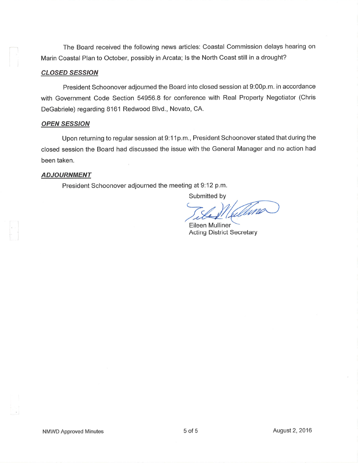The Board received the following news articles: Coastal Commission delays hearing on Marin Coastal Plan to October, possibly in Arcata; ls the North Coast still in a drought?

### **CLOSED SESSION**

President Schoonover adjourned the Board into closed session at 9:00p.m. in accordance with Government Code Section 54956.8 for conference with Real Property Negotiator (Chris DeGabriele) regarding 8161 Redwood Blvd., Novato, CA.

#### **OPEN SESSION**

Upon returning to regular session at 9:11p.m., President Schoonover stated that during the closed session the Board had discussed the issue with the General Manager and no action had been taken.

### ADJOURNMENT

President Schoonover adjourned the meeting at 9:12 p.m.

Submitted by

Vellina

Eileen Mulliner Acting District Secretary